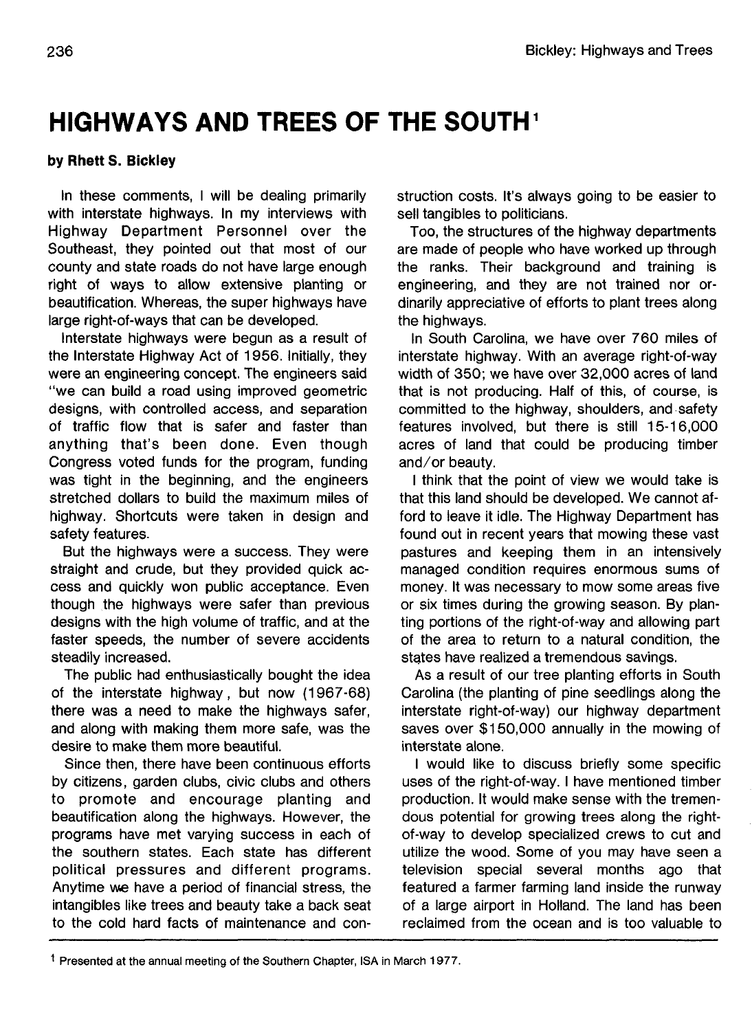## **HIGHWAYS AND TREES OF THE SOUTH**

## **by Rhett S. Bickley**

In these comments, I will be dealing primarily with interstate highways. In my interviews with Highway Department Personnel over the Southeast, they pointed out that most of our county and state roads do not have large enough right of ways to allow extensive planting or beautification. Whereas, the super highways have large right-of-ways that can be developed.

Interstate highways were begun as a result of the Interstate Highway Act of 1956. Initially, they were an engineering concept. The engineers said "we can build a road using improved geometric designs, with controlled access, and separation of traffic flow that is safer and faster than anything that's been done. Even though Congress voted funds for the program, funding was tight in the beginning, and the engineers stretched dollars to build the maximum miles of highway. Shortcuts were taken in design and safety features.

But the highways were a success. They were straight and crude, but they provided quick access and quickly won public acceptance. Even though the highways were safer than previous designs with the high volume of traffic, and at the faster speeds, the number of severe accidents steadily increased.

The public had enthusiastically bought the idea of the interstate highway, but now (1967-68) there was a need to make the highways safer, and along with making them more safe, was the desire to make them more beautiful.

Since then, there have been continuous efforts by citizens, garden clubs, civic clubs and others to promote and encourage planting and beautification along the highways. However, the programs have met varying success in each of the southern states. Each state has different political pressures and different programs. Anytime we have a period of financial stress, the intangibles like trees and beauty take a back seat to the cold hard facts of maintenance and construction costs. It's always going to be easier to sell tangibles to politicians.

Too, the structures of the highway departments are made of people who have worked up through the ranks. Their background and training is engineering, and they are not trained nor ordinarily appreciative of efforts to plant trees along the highways.

In South Carolina, we have over 760 miles of interstate highway. With an average right-of-way width of 350; we have over 32,000 acres of land that is not producing. Half of this, of course, is committed to the highway, shoulders, and safety features involved, but there is still 15-16,000 acres of land that could be producing timber and/or beauty.

I think that the point of view we would take is that this land should be developed. We cannot afford to leave it idle. The Highway Department has found out in recent years that mowing these vast pastures and keeping them in an intensively managed condition requires enormous sums of money. It was necessary to mow some areas five or six times during the growing season. By planting portions of the right-of-way and allowing part of the area to return to a natural condition, the states have realized a tremendous savings.

As a result of our tree planting efforts in South Carolina (the planting of pine seedlings along the interstate right-of-way) our highway department saves over \$150,000 annually in the mowing of interstate alone.

I would like to discuss briefly some specific uses of the right-of-way. I have mentioned timber production. It would make sense with the tremendous potential for growing trees along the rightof-way to develop specialized crews to cut and utilize the wood. Some of you may have seen a television special several months ago that featured a farmer farming land inside the runway of a large airport in Holland. The land has been reclaimed from the ocean and is too valuable to

<sup>&</sup>lt;sup>1</sup> Presented at the annual meeting of the Southern Chapter, ISA in March 1977.